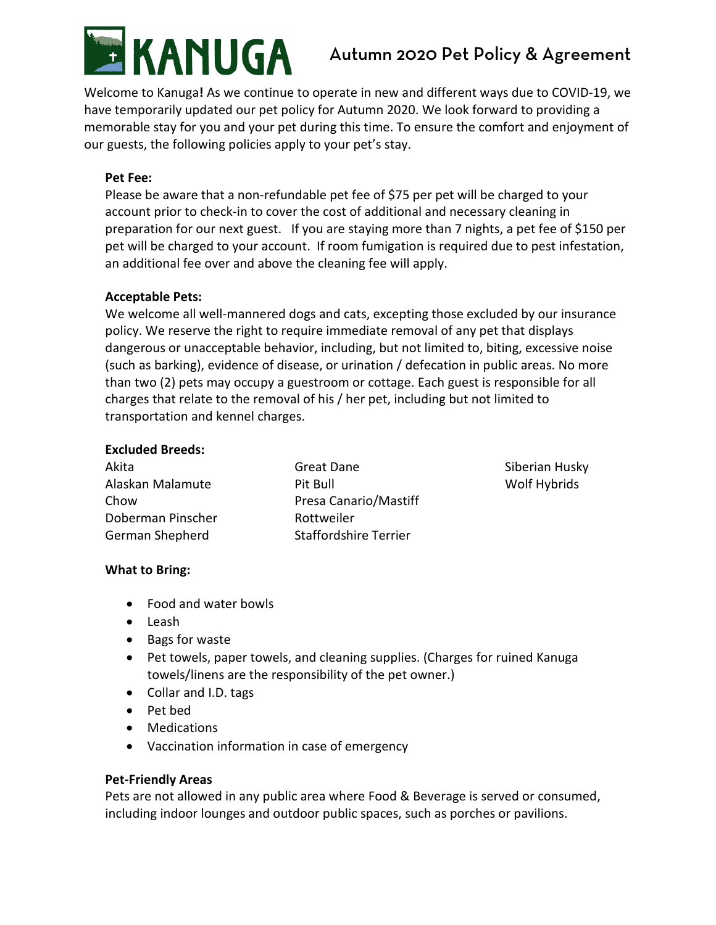

# Autumn 2020 Pet Policy & Agreement

Welcome to Kanuga**!** As we continue to operate in new and different ways due to COVID-19, we have temporarily updated our pet policy for Autumn 2020. We look forward to providing a memorable stay for you and your pet during this time. To ensure the comfort and enjoyment of our guests, the following policies apply to your pet's stay.

## **Pet Fee:**

Please be aware that a non-refundable pet fee of \$75 per pet will be charged to your account prior to check-in to cover the cost of additional and necessary cleaning in preparation for our next guest. If you are staying more than 7 nights, a pet fee of \$150 per pet will be charged to your account. If room fumigation is required due to pest infestation, an additional fee over and above the cleaning fee will apply.

## **Acceptable Pets:**

We welcome all well-mannered dogs and cats, excepting those excluded by our insurance policy. We reserve the right to require immediate removal of any pet that displays dangerous or unacceptable behavior, including, but not limited to, biting, excessive noise (such as barking), evidence of disease, or urination / defecation in public areas. No more than two (2) pets may occupy a guestroom or cottage. Each guest is responsible for all charges that relate to the removal of his / her pet, including but not limited to transportation and kennel charges.

## **Excluded Breeds:**

| Akita             | Great Dane                   | Siberian Husky |
|-------------------|------------------------------|----------------|
| Alaskan Malamute  | Pit Bull                     | Wolf Hybrids   |
| Chow              | Presa Canario/Mastiff        |                |
| Doberman Pinscher | Rottweiler                   |                |
| German Shepherd   | <b>Staffordshire Terrier</b> |                |

## **What to Bring:**

- Food and water bowls
- Leash
- Bags for waste
- Pet towels, paper towels, and cleaning supplies. (Charges for ruined Kanuga towels/linens are the responsibility of the pet owner.)
- Collar and I.D. tags
- Pet bed
- Medications
- Vaccination information in case of emergency

## **Pet-Friendly Areas**

Pets are not allowed in any public area where Food & Beverage is served or consumed, including indoor lounges and outdoor public spaces, such as porches or pavilions.